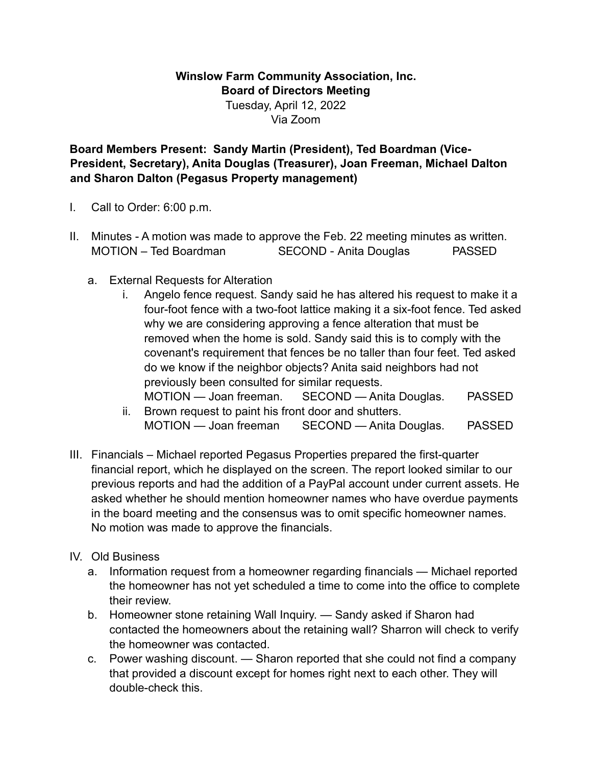## **Winslow Farm Community Association, Inc. Board of Directors Meeting**  Tuesday, April 12, 2022 Via Zoom

**Board Members Present: Sandy Martin (President), Ted Boardman (Vice-President, Secretary), Anita Douglas (Treasurer), Joan Freeman, Michael Dalton and Sharon Dalton (Pegasus Property management)** 

- I. Call to Order: 6:00 p.m.
- II. Minutes A motion was made to approve the Feb. 22 meeting minutes as written. MOTION – Ted Boardman SECOND - Anita Douglas PASSED
	- a. External Requests for Alteration
		- i. Angelo fence request. Sandy said he has altered his request to make it a four-foot fence with a two-foot lattice making it a six-foot fence. Ted asked why we are considering approving a fence alteration that must be removed when the home is sold. Sandy said this is to comply with the covenant's requirement that fences be no taller than four feet. Ted asked do we know if the neighbor objects? Anita said neighbors had not previously been consulted for similar requests. MOTION — Joan freeman. SECOND — Anita Douglas. PASSED
		- ii. Brown request to paint his front door and shutters. MOTION — Joan freeman SECOND — Anita Douglas. PASSED
- III. Financials Michael reported Pegasus Properties prepared the first-quarter financial report, which he displayed on the screen. The report looked similar to our previous reports and had the addition of a PayPal account under current assets. He asked whether he should mention homeowner names who have overdue payments in the board meeting and the consensus was to omit specific homeowner names. No motion was made to approve the financials.
- IV. Old Business
	- a. Information request from a homeowner regarding financials Michael reported the homeowner has not yet scheduled a time to come into the office to complete their review.
	- b. Homeowner stone retaining Wall Inquiry. Sandy asked if Sharon had contacted the homeowners about the retaining wall? Sharron will check to verify the homeowner was contacted.
	- c. Power washing discount. Sharon reported that she could not find a company that provided a discount except for homes right next to each other. They will double-check this.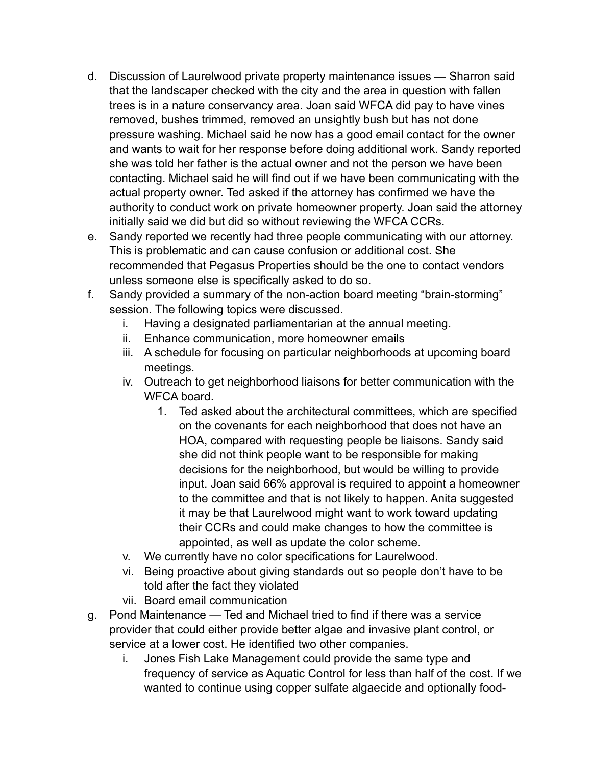- d. Discussion of Laurelwood private property maintenance issues Sharron said that the landscaper checked with the city and the area in question with fallen trees is in a nature conservancy area. Joan said WFCA did pay to have vines removed, bushes trimmed, removed an unsightly bush but has not done pressure washing. Michael said he now has a good email contact for the owner and wants to wait for her response before doing additional work. Sandy reported she was told her father is the actual owner and not the person we have been contacting. Michael said he will find out if we have been communicating with the actual property owner. Ted asked if the attorney has confirmed we have the authority to conduct work on private homeowner property. Joan said the attorney initially said we did but did so without reviewing the WFCA CCRs.
- e. Sandy reported we recently had three people communicating with our attorney. This is problematic and can cause confusion or additional cost. She recommended that Pegasus Properties should be the one to contact vendors unless someone else is specifically asked to do so.
- f. Sandy provided a summary of the non-action board meeting "brain-storming" session. The following topics were discussed.
	- i. Having a designated parliamentarian at the annual meeting.
	- ii. Enhance communication, more homeowner emails
	- iii. A schedule for focusing on particular neighborhoods at upcoming board meetings.
	- iv. Outreach to get neighborhood liaisons for better communication with the WFCA board.
		- 1. Ted asked about the architectural committees, which are specified on the covenants for each neighborhood that does not have an HOA, compared with requesting people be liaisons. Sandy said she did not think people want to be responsible for making decisions for the neighborhood, but would be willing to provide input. Joan said 66% approval is required to appoint a homeowner to the committee and that is not likely to happen. Anita suggested it may be that Laurelwood might want to work toward updating their CCRs and could make changes to how the committee is appointed, as well as update the color scheme.
	- v. We currently have no color specifications for Laurelwood.
	- vi. Being proactive about giving standards out so people don't have to be told after the fact they violated
	- vii. Board email communication
- g. Pond Maintenance Ted and Michael tried to find if there was a service provider that could either provide better algae and invasive plant control, or service at a lower cost. He identified two other companies.
	- i. Jones Fish Lake Management could provide the same type and frequency of service as Aquatic Control for less than half of the cost. If we wanted to continue using copper sulfate algaecide and optionally food-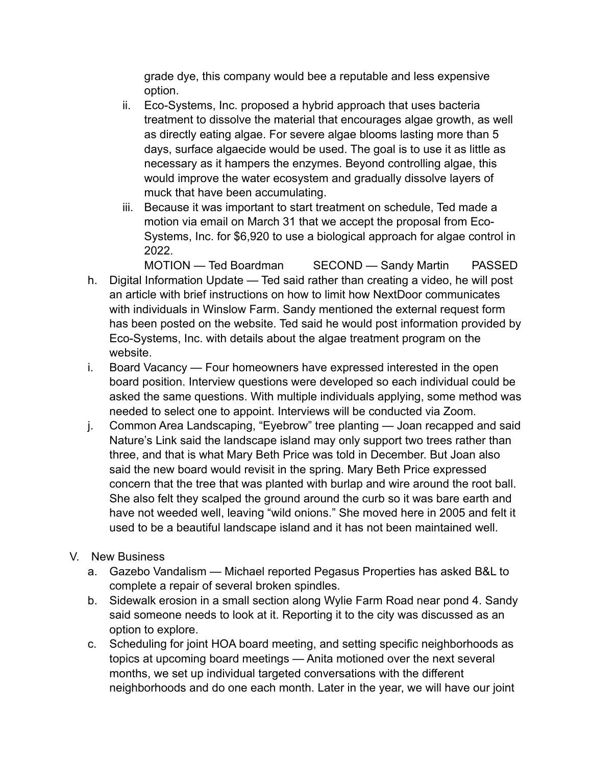grade dye, this company would bee a reputable and less expensive option.

- ii. Eco-Systems, Inc. proposed a hybrid approach that uses bacteria treatment to dissolve the material that encourages algae growth, as well as directly eating algae. For severe algae blooms lasting more than 5 days, surface algaecide would be used. The goal is to use it as little as necessary as it hampers the enzymes. Beyond controlling algae, this would improve the water ecosystem and gradually dissolve layers of muck that have been accumulating.
- iii. Because it was important to start treatment on schedule, Ted made a motion via email on March 31 that we accept the proposal from Eco-Systems, Inc. for \$6,920 to use a biological approach for algae control in 2022.

MOTION — Ted Boardman SECOND — Sandy Martin PASSED

- h. Digital Information Update Ted said rather than creating a video, he will post an article with brief instructions on how to limit how NextDoor communicates with individuals in Winslow Farm. Sandy mentioned the external request form has been posted on the website. Ted said he would post information provided by Eco-Systems, Inc. with details about the algae treatment program on the website.
- i. Board Vacancy Four homeowners have expressed interested in the open board position. Interview questions were developed so each individual could be asked the same questions. With multiple individuals applying, some method was needed to select one to appoint. Interviews will be conducted via Zoom.
- j. Common Area Landscaping, "Eyebrow" tree planting Joan recapped and said Nature's Link said the landscape island may only support two trees rather than three, and that is what Mary Beth Price was told in December. But Joan also said the new board would revisit in the spring. Mary Beth Price expressed concern that the tree that was planted with burlap and wire around the root ball. She also felt they scalped the ground around the curb so it was bare earth and have not weeded well, leaving "wild onions." She moved here in 2005 and felt it used to be a beautiful landscape island and it has not been maintained well.
- V. New Business
	- a. Gazebo Vandalism Michael reported Pegasus Properties has asked B&L to complete a repair of several broken spindles.
	- b. Sidewalk erosion in a small section along Wylie Farm Road near pond 4. Sandy said someone needs to look at it. Reporting it to the city was discussed as an option to explore.
	- c. Scheduling for joint HOA board meeting, and setting specific neighborhoods as topics at upcoming board meetings — Anita motioned over the next several months, we set up individual targeted conversations with the different neighborhoods and do one each month. Later in the year, we will have our joint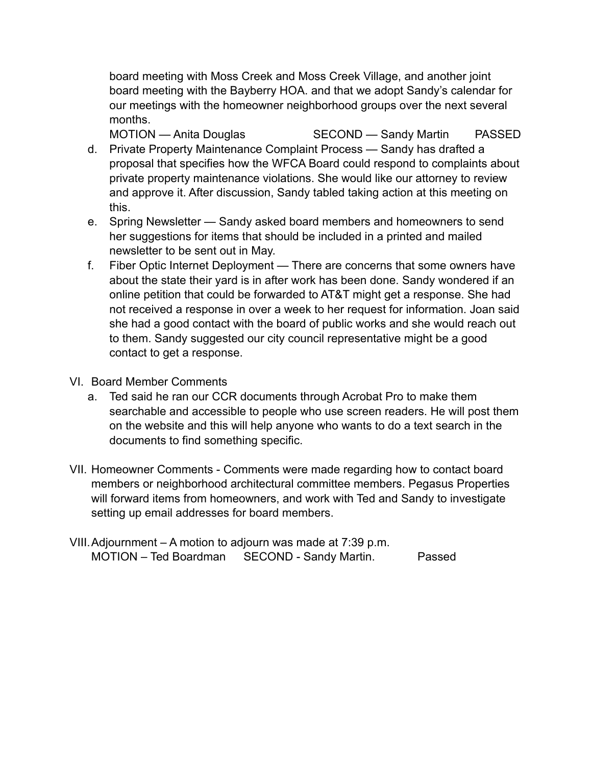board meeting with Moss Creek and Moss Creek Village, and another joint board meeting with the Bayberry HOA. and that we adopt Sandy's calendar for our meetings with the homeowner neighborhood groups over the next several months.

MOTION — Anita Douglas SECOND — Sandy Martin PASSED d. Private Property Maintenance Complaint Process — Sandy has drafted a proposal that specifies how the WFCA Board could respond to complaints about private property maintenance violations. She would like our attorney to review and approve it. After discussion, Sandy tabled taking action at this meeting on this.

- e. Spring Newsletter Sandy asked board members and homeowners to send her suggestions for items that should be included in a printed and mailed newsletter to be sent out in May.
- f. Fiber Optic Internet Deployment There are concerns that some owners have about the state their yard is in after work has been done. Sandy wondered if an online petition that could be forwarded to AT&T might get a response. She had not received a response in over a week to her request for information. Joan said she had a good contact with the board of public works and she would reach out to them. Sandy suggested our city council representative might be a good contact to get a response.
- VI. Board Member Comments
	- a. Ted said he ran our CCR documents through Acrobat Pro to make them searchable and accessible to people who use screen readers. He will post them on the website and this will help anyone who wants to do a text search in the documents to find something specific.
- VII. Homeowner Comments Comments were made regarding how to contact board members or neighborhood architectural committee members. Pegasus Properties will forward items from homeowners, and work with Ted and Sandy to investigate setting up email addresses for board members.
- VIII.Adjournment A motion to adjourn was made at 7:39 p.m. MOTION – Ted Boardman SECOND - Sandy Martin. Passed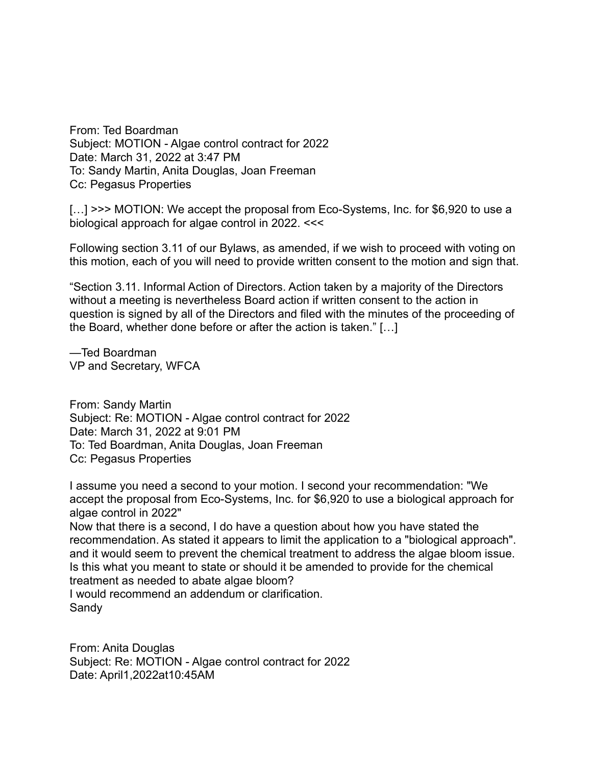From: Ted Boardman Subject: MOTION - Algae control contract for 2022 Date: March 31, 2022 at 3:47 PM To: Sandy Martin, Anita Douglas, Joan Freeman Cc: Pegasus Properties

[...] >>> MOTION: We accept the proposal from Eco-Systems, Inc. for \$6,920 to use a biological approach for algae control in 2022. <<<

Following section 3.11 of our Bylaws, as amended, if we wish to proceed with voting on this motion, each of you will need to provide written consent to the motion and sign that.

"Section 3.11. Informal Action of Directors. Action taken by a majority of the Directors without a meeting is nevertheless Board action if written consent to the action in question is signed by all of the Directors and filed with the minutes of the proceeding of the Board, whether done before or after the action is taken." […]

—Ted Boardman VP and Secretary, WFCA

From: Sandy Martin Subject: Re: MOTION - Algae control contract for 2022 Date: March 31, 2022 at 9:01 PM To: Ted Boardman, Anita Douglas, Joan Freeman Cc: Pegasus Properties

I assume you need a second to your motion. I second your recommendation: "We accept the proposal from Eco-Systems, Inc. for \$6,920 to use a biological approach for algae control in 2022"

Now that there is a second, I do have a question about how you have stated the recommendation. As stated it appears to limit the application to a "biological approach". and it would seem to prevent the chemical treatment to address the algae bloom issue. Is this what you meant to state or should it be amended to provide for the chemical treatment as needed to abate algae bloom?

I would recommend an addendum or clarification. Sandy

From: Anita Douglas Subject: Re: MOTION - Algae control contract for 2022 Date: April1,2022at10:45AM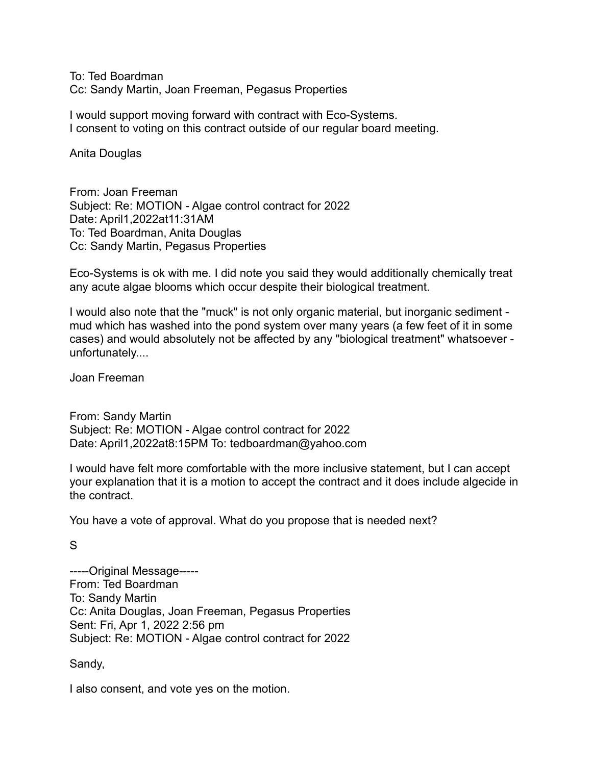To: Ted Boardman Cc: Sandy Martin, Joan Freeman, Pegasus Properties

I would support moving forward with contract with Eco-Systems. I consent to voting on this contract outside of our regular board meeting.

Anita Douglas

From: Joan Freeman Subject: Re: MOTION - Algae control contract for 2022 Date: April1,2022at11:31AM To: Ted Boardman, Anita Douglas Cc: Sandy Martin, Pegasus Properties

Eco-Systems is ok with me. I did note you said they would additionally chemically treat any acute algae blooms which occur despite their biological treatment.

I would also note that the "muck" is not only organic material, but inorganic sediment mud which has washed into the pond system over many years (a few feet of it in some cases) and would absolutely not be affected by any "biological treatment" whatsoever unfortunately....

Joan Freeman

From: Sandy Martin Subject: Re: MOTION - Algae control contract for 2022 Date: April1,2022at8:15PM To: tedboardman@yahoo.com

I would have felt more comfortable with the more inclusive statement, but I can accept your explanation that it is a motion to accept the contract and it does include algecide in the contract.

You have a vote of approval. What do you propose that is needed next?

S

-----Original Message----- From: Ted Boardman To: Sandy Martin Cc: Anita Douglas, Joan Freeman, Pegasus Properties Sent: Fri, Apr 1, 2022 2:56 pm Subject: Re: MOTION - Algae control contract for 2022

Sandy,

I also consent, and vote yes on the motion.